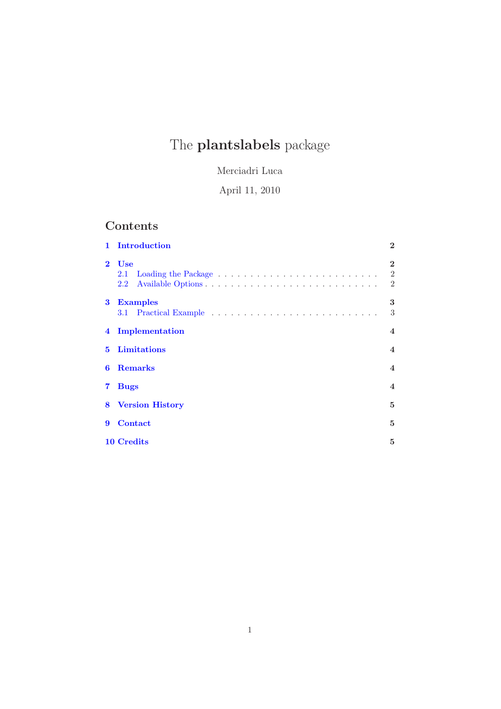# The **plantslabels** package

Merciadri Luca

April 11, 2010

## Contents

| $\mathbf{1}$ | Introduction                                                | $\overline{2}$           |
|--------------|-------------------------------------------------------------|--------------------------|
| $\mathbf{2}$ | <b>Use</b><br>$2.1\,$<br>Available Options<br>$2.2^{\circ}$ | $\mathbf{2}$<br>2<br>2   |
| 3            | <b>Examples</b>                                             | 3<br>3                   |
|              | 4 Implementation                                            | $\overline{\mathbf{4}}$  |
| 5.           | Limitations                                                 | $\overline{\mathbf{4}}$  |
| 6            | <b>Remarks</b>                                              | $\overline{\mathbf{4}}$  |
| 7            | <b>Bugs</b>                                                 | $\overline{\mathcal{A}}$ |
|              | <b>8</b> Version History                                    | 5                        |
| 9            | <b>Contact</b>                                              | 5                        |
|              | 10 Credits                                                  | 5                        |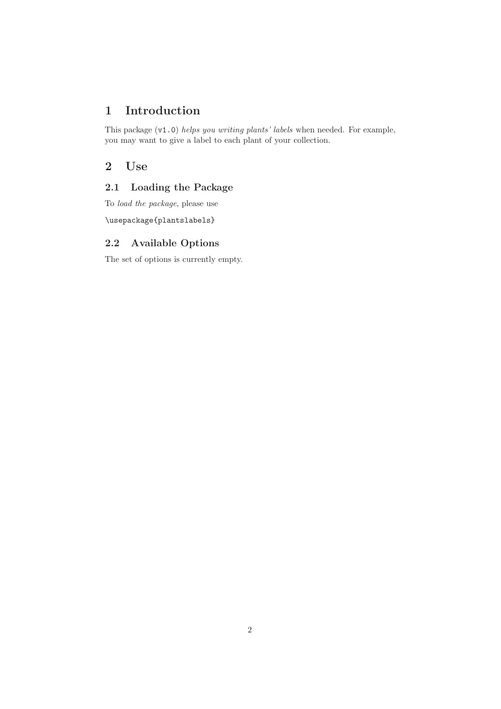## <span id="page-1-0"></span>1 Introduction

This package (v1.0) helps you writing plants' labels when needed. For example, you may want to give a label to each plant of your collection.

### <span id="page-1-2"></span><span id="page-1-1"></span>2 Use

#### 2.1 Loading the Package

To load the package, please use

\usepackage{plantslabels}

#### <span id="page-1-3"></span>2.2 Available Options

The set of options is currently empty.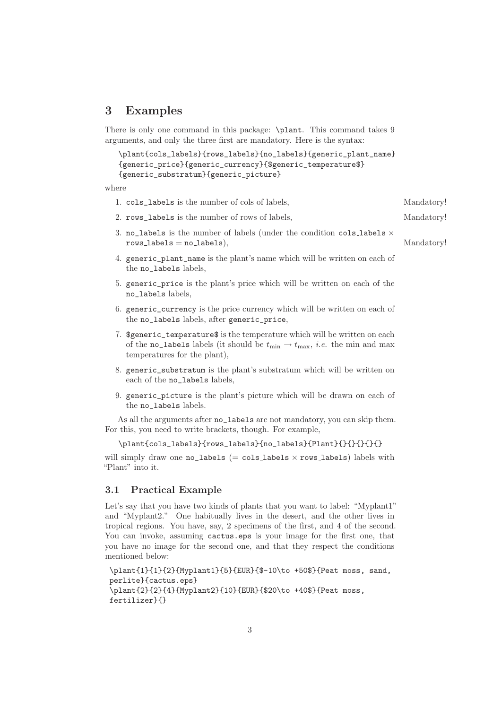#### <span id="page-2-0"></span>3 Examples

There is only one command in this package: \plant. This command takes 9 arguments, and only the three first are mandatory. Here is the syntax:

```
\plant{cols_labels}{rows_labels}{no_labels}{generic_plant_name}
{generic_price}{generic_currency}{$generic_temperature$}
{generic_substratum}{generic_picture}
```
where

- 1. cols labels is the number of cols of labels. Mandatory!
- 2. rows\_labels is the number of rows of labels, Mandatory!
- 3. no\_labels is the number of labels (under the condition cols\_labels  $\times$ rows\_labels = no\_labels), Mandatory!
- 4. generic\_plant\_name is the plant's name which will be written on each of the no labels labels.
- 5. generic\_price is the plant's price which will be written on each of the no\_labels labels,
- 6. generic\_currency is the price currency which will be written on each of the no\_labels labels, after generic\_price,
- 7. \$generic\_temperature\$ is the temperature which will be written on each of the no\_labels labels (it should be  $t_{\min} \rightarrow t_{\max}$ , *i.e.* the min and max temperatures for the plant),
- 8. generic\_substratum is the plant's substratum which will be written on each of the no\_labels labels,
- 9. generic\_picture is the plant's picture which will be drawn on each of the no\_labels labels.

As all the arguments after no\_labels are not mandatory, you can skip them. For this, you need to write brackets, though. For example,

```
\plant{cols_labels}{rows_labels}{no_labels}{Plant}{}{}{}{}{}
```
will simply draw one no\_labels  $(= \text{cols}\_ \text{labels} \times \text{rows}\_ \text{labels})$  labels with "Plant" into it.

#### <span id="page-2-1"></span>3.1 Practical Example

Let's say that you have two kinds of plants that you want to label: "Myplant1" and "Myplant2." One habitually lives in the desert, and the other lives in tropical regions. You have, say, 2 specimens of the first, and 4 of the second. You can invoke, assuming cactus.eps is your image for the first one, that you have no image for the second one, and that they respect the conditions mentioned below:

```
\plant{1}{1}{2}{Myplant1}{5}{EUR}{$-10\to +50$}{Peat moss, sand,
perlite}{cactus.eps}
\plant{2}{2}{4}{Myplant2}{10}{EUR}{$20\to +40$}{Peat moss,
fertilizer}{}
```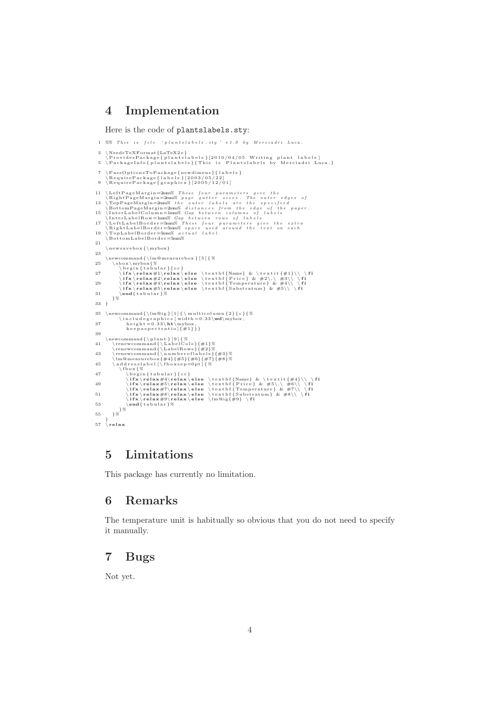#### <span id="page-3-0"></span>4 Implementation

Here is the code of plantslabels.sty:

```
1 %% This is file 'plantslabels.sty' v1.0 by Merciadri Luca.
    3 \NeedsTeXFormat{LaTeX2e}<br>\ProvidesPackage{plantslabels}[2010/04/05 Writing plant labels]<br>5 \PackageInfo{plantslabels}{This is Plantslabels by Merciadri Luca.}
    7 \PassOptionsToPackage{newdimens}{1abels}<br>\RequirePackage{labels}{2003/05/22]<br>9 \RequirePackage{graphicx}{2005/12/01]
 11 \LeftPageMargin=2mm% These four parameters give the NightPageMargin=2mm% page gutter sizes. The outer edges of 13 \TopPageMargin=2mm% the outer labels are the specified<br>13 \TopPageMargin=2mm% the outer labels are the s
           \n\times x \neq \n\times \{ \mtext{ by } x \}23
 \newline \verb|\newcommand{\\l}(m@measurebox}{[5]{\%}\sbox{\thinspace}\ b e g i n { t a b u l a r }{ c c }
27 \ i f x \ re l ax#1\re l ax \ e l s e \ t e x t b f {Name} & \ t e x t i t {#1}\\ \ f i
\ i f x \ re l ax#2\re l ax \ e l s e \ t e x t b f { P r i c e } & #2\,\ #3\\ \ f i
29 \ i f x \ re l ax#4\re l ax \ e l s e \ t e x t b f {Temperature } & #4\\ \ f i
\ i f x \ re l ax#5\re l ax \ e l s e \ t e x t b f { Sub s t ra tum} & #5\\ \ f i
31 \end{ t a b u l a r }%
}%
33 }
 35 \newcommand{\lm@ig}[1]{\multicolumn{2}{c}{%<br>\includegraphics[width=0.33\\mybox,<br>height=0.33\ht\mybox,<br>keepaspectratio]{#1}}}
39
 \newcommand{\ p l a n t } [ 9 ] {%
41 \renewcommand{\ L a b e lC o l s }{#1}%
\renewcommand{\ LabelRows}{#2}%
43 \renewcommand{\ n um b e r o f l a b e l s }{#3}%
\lm@measurebox{#4}{#5}{#6}{#7}{#8}%
45 \ a d d r e s s l a b e l [ \ f b o x s e p=0p t ] {%
 \label{thm:2} $$ \{b \otimes \frac{\#4}{\mathbf{r}^c} \begin{array}{l} \left( \frac{\#4}{\mathbf{r}^c} \right) \in \{K \relax \otimes \textbf{r}^c \& \#5\\ \textbf{r}^c \& \#5\\ \textbf{r}^c \& \#5\\ \textbf{r}^c \& \#7\\ \textbf{r}^c \& \#7\\ \textbf{r}^c \& \#7\\ \textbf{r}^c \& \#7\\ \textbf{r}^c \& \#8\\ \textbf{r}^c \& \#8\\ \textbf{r}^c \& \#8\\ \textbf{r}^c \& \}%
55 }%
 }
57 \ re l ax
```
#### <span id="page-3-1"></span>5 Limitations

<span id="page-3-2"></span>This package has currently no limitation.

#### 6 Remarks

The temperature unit is habitually so obvious that you do not need to specify it manually.

#### <span id="page-3-3"></span>7 Bugs

Not yet.